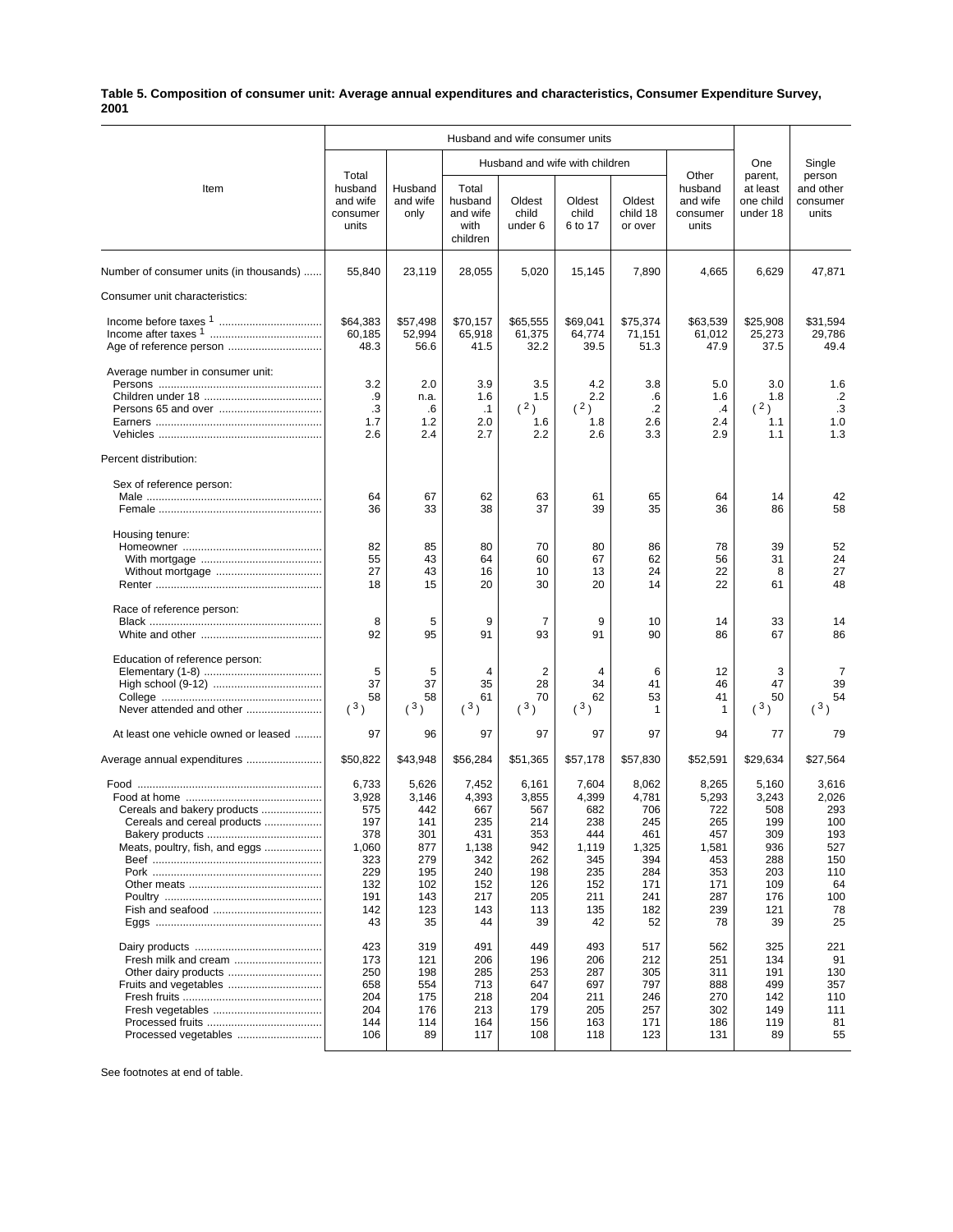## **Table 5. Composition of consumer unit: Average annual expenditures and characteristics, Consumer Expenditure Survey, 2001**

|                                                                                              | Husband and wife consumer units                                                       |                                                                                     |                                                                                       |                                                                                     |                                                                                       |                                                                                       |                                                                                       |                                                                                     |                                                                                   |
|----------------------------------------------------------------------------------------------|---------------------------------------------------------------------------------------|-------------------------------------------------------------------------------------|---------------------------------------------------------------------------------------|-------------------------------------------------------------------------------------|---------------------------------------------------------------------------------------|---------------------------------------------------------------------------------------|---------------------------------------------------------------------------------------|-------------------------------------------------------------------------------------|-----------------------------------------------------------------------------------|
|                                                                                              |                                                                                       |                                                                                     |                                                                                       | Husband and wife with children                                                      |                                                                                       |                                                                                       | One                                                                                   | Single                                                                              |                                                                                   |
| Item                                                                                         | Total<br>husband<br>and wife<br>consumer<br>units                                     | Husband<br>and wife<br>only                                                         | Total<br>husband<br>and wife<br>with<br>children                                      | Oldest<br>child<br>under 6                                                          | Oldest<br>child<br>6 to 17                                                            | Oldest<br>child 18<br>or over                                                         | Other<br>husband<br>and wife<br>consumer<br>units                                     | parent,<br>at least<br>one child<br>under 18                                        | person<br>and other<br>consumer<br>units                                          |
| Number of consumer units (in thousands)                                                      | 55,840                                                                                | 23,119                                                                              | 28,055                                                                                | 5,020                                                                               | 15,145                                                                                | 7,890                                                                                 | 4,665                                                                                 | 6,629                                                                               | 47,871                                                                            |
| Consumer unit characteristics:                                                               |                                                                                       |                                                                                     |                                                                                       |                                                                                     |                                                                                       |                                                                                       |                                                                                       |                                                                                     |                                                                                   |
| Age of reference person                                                                      | \$64,383<br>60,185<br>48.3                                                            | \$57,498<br>52,994<br>56.6                                                          | \$70,157<br>65,918<br>41.5                                                            | \$65,555<br>61,375<br>32.2                                                          | \$69,041<br>64,774<br>39.5                                                            | \$75,374<br>71,151<br>51.3                                                            | \$63,539<br>61,012<br>47.9                                                            | \$25,908<br>25,273<br>37.5                                                          | \$31,594<br>29,786<br>49.4                                                        |
| Average number in consumer unit:                                                             | 3.2<br>.9<br>$\cdot$ 3<br>1.7<br>2.6                                                  | 2.0<br>n.a.<br>$6^{\circ}$<br>1.2<br>2.4                                            | 3.9<br>1.6<br>$\cdot$ 1<br>2.0<br>2.7                                                 | 3.5<br>1.5<br>(2)<br>1.6<br>2.2                                                     | 4.2<br>2.2<br>(2)<br>1.8<br>2.6                                                       | 3.8<br>.6<br>$\cdot$<br>2.6<br>3.3                                                    | 5.0<br>1.6<br>$\cdot$<br>2.4<br>2.9                                                   | 3.0<br>1.8<br>(2)<br>1.1<br>1.1                                                     | 1.6<br>$\cdot$ .2<br>$\cdot$ 3<br>1.0<br>1.3                                      |
| Percent distribution:                                                                        |                                                                                       |                                                                                     |                                                                                       |                                                                                     |                                                                                       |                                                                                       |                                                                                       |                                                                                     |                                                                                   |
| Sex of reference person:                                                                     | 64<br>36                                                                              | 67<br>33                                                                            | 62<br>38                                                                              | 63<br>37                                                                            | 61<br>39                                                                              | 65<br>35                                                                              | 64<br>36                                                                              | 14<br>86                                                                            | 42<br>58                                                                          |
| Housing tenure:                                                                              | 82<br>55<br>27<br>18                                                                  | 85<br>43<br>43<br>15                                                                | 80<br>64<br>16<br>20                                                                  | 70<br>60<br>10<br>30                                                                | 80<br>67<br>13<br>20                                                                  | 86<br>62<br>24<br>14                                                                  | 78<br>56<br>22<br>22                                                                  | 39<br>31<br>8<br>61                                                                 | 52<br>24<br>27<br>48                                                              |
| Race of reference person:                                                                    | 8<br>92                                                                               | 5<br>95                                                                             | 9<br>91                                                                               | 7<br>93                                                                             | 9<br>91                                                                               | 10<br>90                                                                              | 14<br>86                                                                              | 33<br>67                                                                            | 14<br>86                                                                          |
| Education of reference person:<br>Never attended and other                                   | 5<br>37<br>58<br>(3)                                                                  | 5<br>37<br>58<br>(3)                                                                | $\overline{4}$<br>35<br>61<br>(3)                                                     | 2<br>28<br>70<br>(3)                                                                | 4<br>34<br>62<br>(3)                                                                  | 6<br>41<br>53<br>1                                                                    | 12<br>46<br>41<br>1                                                                   | 3<br>47<br>50<br>$(^{3})$                                                           | 7<br>39<br>54<br>$(^{3})$                                                         |
| At least one vehicle owned or leased                                                         | 97                                                                                    | 96                                                                                  | 97                                                                                    | 97                                                                                  | 97                                                                                    | 97                                                                                    | 94                                                                                    | 77                                                                                  | 79                                                                                |
| Average annual expenditures                                                                  | \$50,822                                                                              | \$43,948                                                                            | \$56,284                                                                              | \$51,365                                                                            | \$57,178                                                                              | \$57,830                                                                              | \$52,591                                                                              | \$29,634                                                                            | \$27,564                                                                          |
| Cereals and bakery products<br>Cereals and cereal products<br>Meats, poultry, fish, and eggs | 6,733<br>3,928<br>575<br>197<br>378<br>1,060<br>323<br>229<br>132<br>191<br>142<br>43 | 5,626<br>3,146<br>442<br>141<br>301<br>877<br>279<br>195<br>102<br>143<br>123<br>35 | 7,452<br>4,393<br>667<br>235<br>431<br>1,138<br>342<br>240<br>152<br>217<br>143<br>44 | 6,161<br>3,855<br>567<br>214<br>353<br>942<br>262<br>198<br>126<br>205<br>113<br>39 | 7,604<br>4,399<br>682<br>238<br>444<br>1,119<br>345<br>235<br>152<br>211<br>135<br>42 | 8,062<br>4,781<br>706<br>245<br>461<br>1,325<br>394<br>284<br>171<br>241<br>182<br>52 | 8,265<br>5,293<br>722<br>265<br>457<br>1,581<br>453<br>353<br>171<br>287<br>239<br>78 | 5.160<br>3,243<br>508<br>199<br>309<br>936<br>288<br>203<br>109<br>176<br>121<br>39 | 3,616<br>2,026<br>293<br>100<br>193<br>527<br>150<br>110<br>64<br>100<br>78<br>25 |
| Fresh milk and cream<br>Fruits and vegetables<br>Processed vegetables                        | 423<br>173<br>250<br>658<br>204<br>204<br>144<br>106                                  | 319<br>121<br>198<br>554<br>175<br>176<br>114<br>89                                 | 491<br>206<br>285<br>713<br>218<br>213<br>164<br>117                                  | 449<br>196<br>253<br>647<br>204<br>179<br>156<br>108                                | 493<br>206<br>287<br>697<br>211<br>205<br>163<br>118                                  | 517<br>212<br>305<br>797<br>246<br>257<br>171<br>123                                  | 562<br>251<br>311<br>888<br>270<br>302<br>186<br>131                                  | 325<br>134<br>191<br>499<br>142<br>149<br>119<br>89                                 | 221<br>91<br>130<br>357<br>110<br>111<br>81<br>55                                 |

See footnotes at end of table.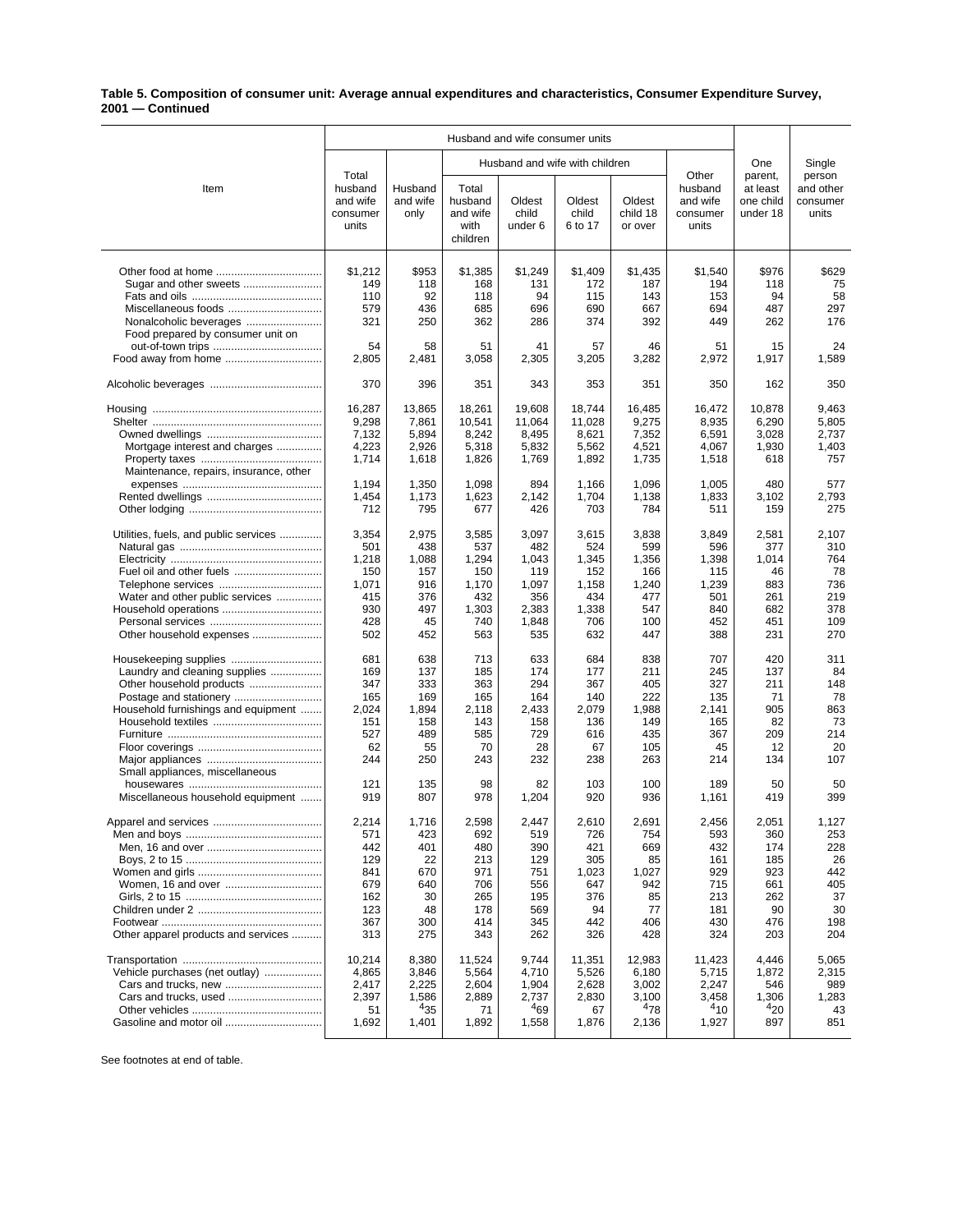## **Table 5. Composition of consumer unit: Average annual expenditures and characteristics, Consumer Expenditure Survey, 2001 — Continued**

|                                                               | Husband and wife consumer units                   |                             |                                                  |                                |                            |                               |                                                   |                                              |                                          |
|---------------------------------------------------------------|---------------------------------------------------|-----------------------------|--------------------------------------------------|--------------------------------|----------------------------|-------------------------------|---------------------------------------------------|----------------------------------------------|------------------------------------------|
|                                                               |                                                   |                             |                                                  | Husband and wife with children |                            |                               | One                                               | Single                                       |                                          |
| Item                                                          | Total<br>husband<br>and wife<br>consumer<br>units | Husband<br>and wife<br>only | Total<br>husband<br>and wife<br>with<br>children | Oldest<br>child<br>under 6     | Oldest<br>child<br>6 to 17 | Oldest<br>child 18<br>or over | Other<br>husband<br>and wife<br>consumer<br>units | parent,<br>at least<br>one child<br>under 18 | person<br>and other<br>consumer<br>units |
|                                                               | \$1,212                                           | \$953                       | \$1,385                                          | \$1,249                        | \$1,409                    | \$1,435                       | \$1,540                                           | \$976                                        | \$629                                    |
| Sugar and other sweets                                        | 149                                               | 118                         | 168                                              | 131                            | 172                        | 187                           | 194                                               | 118                                          | 75                                       |
|                                                               | 110                                               | 92                          | 118                                              | 94                             | 115                        | 143                           | 153                                               | 94                                           | 58                                       |
| Miscellaneous foods                                           | 579                                               | 436                         | 685                                              | 696                            | 690                        | 667                           | 694                                               | 487                                          | 297                                      |
| Nonalcoholic beverages                                        | 321                                               | 250                         | 362                                              | 286                            | 374                        | 392                           | 449                                               | 262                                          | 176                                      |
| Food prepared by consumer unit on                             |                                                   |                             |                                                  |                                |                            |                               |                                                   |                                              |                                          |
|                                                               | 54                                                | 58                          | 51                                               | 41                             | 57                         | 46                            | 51                                                | 15                                           | 24                                       |
|                                                               | 2,805                                             | 2,481                       | 3,058                                            | 2,305                          | 3,205                      | 3,282                         | 2,972                                             | 1,917                                        | 1,589                                    |
|                                                               | 370                                               | 396                         | 351                                              | 343                            | 353                        | 351                           | 350                                               | 162                                          | 350                                      |
|                                                               | 16,287                                            | 13,865                      | 18,261                                           | 19,608                         | 18,744                     | 16,485                        | 16,472                                            | 10,878                                       | 9,463                                    |
|                                                               | 9,298                                             | 7,861                       | 10,541                                           | 11,064                         | 11,028                     | 9,275                         | 8,935                                             | 6,290                                        | 5,805                                    |
|                                                               | 7,132                                             | 5,894                       | 8,242                                            | 8,495                          | 8,621                      | 7,352                         | 6,591                                             | 3,028                                        | 2,737                                    |
| Mortgage interest and charges                                 | 4,223                                             | 2,926                       | 5,318                                            | 5,832                          | 5,562                      | 4,521                         | 4,067                                             | 1,930                                        | 1,403                                    |
|                                                               | 1,714                                             | 1,618                       | 1,826                                            | 1,769                          | 1,892                      | 1,735                         | 1,518                                             | 618                                          | 757                                      |
| Maintenance, repairs, insurance, other                        |                                                   |                             |                                                  |                                |                            |                               |                                                   |                                              |                                          |
|                                                               | 1,194<br>1,454                                    | 1,350                       | 1,098                                            | 894<br>2,142                   | 1,166<br>1,704             | 1,096<br>1,138                | 1,005<br>1,833                                    | 480<br>3.102                                 | 577<br>2,793                             |
|                                                               | 712                                               | 1,173<br>795                | 1,623<br>677                                     | 426                            | 703                        | 784                           | 511                                               | 159                                          | 275                                      |
| Utilities, fuels, and public services                         | 3,354                                             | 2,975                       | 3,585                                            | 3,097                          | 3,615                      | 3,838                         | 3,849                                             | 2,581                                        | 2,107                                    |
|                                                               | 501                                               | 438                         | 537                                              | 482                            | 524                        | 599                           | 596                                               | 377                                          | 310                                      |
|                                                               | 1,218                                             | 1,088                       | 1,294                                            | 1,043                          | 1,345                      | 1,356                         | 1,398                                             | 1,014                                        | 764                                      |
|                                                               | 150                                               | 157                         | 150                                              | 119                            | 152                        | 166                           | 115                                               | 46                                           | 78                                       |
|                                                               | 1,071                                             | 916                         | 1,170                                            | 1,097                          | 1,158                      | 1,240                         | 1,239                                             | 883                                          | 736                                      |
| Water and other public services                               | 415                                               | 376                         | 432                                              | 356                            | 434                        | 477                           | 501                                               | 261                                          | 219                                      |
| Household operations                                          | 930                                               | 497                         | 1,303                                            | 2,383                          | 1,338                      | 547                           | 840                                               | 682                                          | 378                                      |
| Other household expenses                                      | 428<br>502                                        | 45<br>452                   | 740<br>563                                       | 1,848<br>535                   | 706<br>632                 | 100<br>447                    | 452<br>388                                        | 451<br>231                                   | 109<br>270                               |
|                                                               |                                                   |                             |                                                  |                                |                            |                               |                                                   |                                              |                                          |
| Housekeeping supplies                                         | 681                                               | 638                         | 713                                              | 633                            | 684                        | 838                           | 707                                               | 420                                          | 311                                      |
| Laundry and cleaning supplies                                 | 169                                               | 137                         | 185                                              | 174                            | 177                        | 211                           | 245                                               | 137                                          | 84                                       |
| Other household products                                      | 347<br>165                                        | 333<br>169                  | 363<br>165                                       | 294<br>164                     | 367<br>140                 | 405<br>222                    | 327<br>135                                        | 211<br>71                                    | 148<br>78                                |
| Postage and stationery<br>Household furnishings and equipment | 2,024                                             | 1,894                       | 2,118                                            | 2,433                          | 2,079                      | 1,988                         | 2,141                                             | 905                                          | 863                                      |
|                                                               | 151                                               | 158                         | 143                                              | 158                            | 136                        | 149                           | 165                                               | 82                                           | 73                                       |
|                                                               | 527                                               | 489                         | 585                                              | 729                            | 616                        | 435                           | 367                                               | 209                                          | 214                                      |
|                                                               | 62                                                | 55                          | 70                                               | 28                             | 67                         | 105                           | 45                                                | 12                                           | 20                                       |
|                                                               | 244                                               | 250                         | 243                                              | 232                            | 238                        | 263                           | 214                                               | 134                                          | 107                                      |
| Small appliances, miscellaneous                               |                                                   |                             |                                                  |                                |                            |                               |                                                   |                                              |                                          |
| Miscellaneous household equipment                             | 121<br>919                                        | 135<br>807                  | 98<br>978                                        | 82<br>1,204                    | 103<br>920                 | 100<br>936                    | 189<br>1,161                                      | 50<br>419                                    | 50<br>399                                |
| Apparel and services                                          | 2,214                                             | 1.716                       | 2.598                                            | 2.447                          | 2,610                      | 2,691                         | 2,456                                             | 2.051                                        | 1,127                                    |
|                                                               | 571                                               | 423                         | 692                                              | 519                            | 726                        | 754                           | 593                                               | 360                                          | 253                                      |
|                                                               | 442                                               | 401                         | 480                                              | 390                            | 421                        | 669                           | 432                                               | 174                                          | 228                                      |
|                                                               | 129                                               | 22                          | 213                                              | 129                            | 305                        | 85                            | 161                                               | 185                                          | 26                                       |
|                                                               | 841                                               | 670                         | 971                                              | 751                            | 1,023                      | 1,027                         | 929                                               | 923                                          | 442                                      |
| Women, 16 and over                                            | 679                                               | 640                         | 706                                              | 556                            | 647                        | 942                           | 715                                               | 661                                          | 405                                      |
|                                                               | 162                                               | 30                          | 265                                              | 195                            | 376                        | 85                            | 213                                               | 262                                          | 37                                       |
|                                                               | 123                                               | 48                          | 178                                              | 569                            | 94                         | 77                            | 181                                               | 90                                           | 30                                       |
| Other apparel products and services                           | 367<br>313                                        | 300<br>275                  | 414<br>343                                       | 345<br>262                     | 442<br>326                 | 406<br>428                    | 430<br>324                                        | 476<br>203                                   | 198<br>204                               |
|                                                               | 10,214                                            | 8,380                       | 11,524                                           | 9,744                          | 11,351                     | 12,983                        | 11,423                                            | 4,446                                        | 5,065                                    |
| Vehicle purchases (net outlay)                                | 4,865                                             | 3,846                       | 5,564                                            | 4,710                          | 5,526                      | 6,180                         | 5,715                                             | 1,872                                        | 2,315                                    |
| Cars and trucks, new                                          | 2,417                                             | 2,225                       | 2,604                                            | 1,904                          | 2,628                      | 3,002                         | 2,247                                             | 546                                          | 989                                      |
|                                                               | 2,397                                             | 1,586                       | 2,889                                            | 2,737                          | 2,830                      | 3,100                         | 3,458                                             | 1,306                                        | 1,283                                    |
|                                                               | 51                                                | 435                         | 71                                               | 469                            | 67                         | 478                           | $4_{10}$                                          | 420                                          | 43                                       |
|                                                               | 1,692                                             | 1,401                       | 1,892                                            | 1,558                          | 1,876                      | 2,136                         | 1,927                                             | 897                                          | 851                                      |
|                                                               |                                                   |                             |                                                  |                                |                            |                               |                                                   |                                              |                                          |

See footnotes at end of table.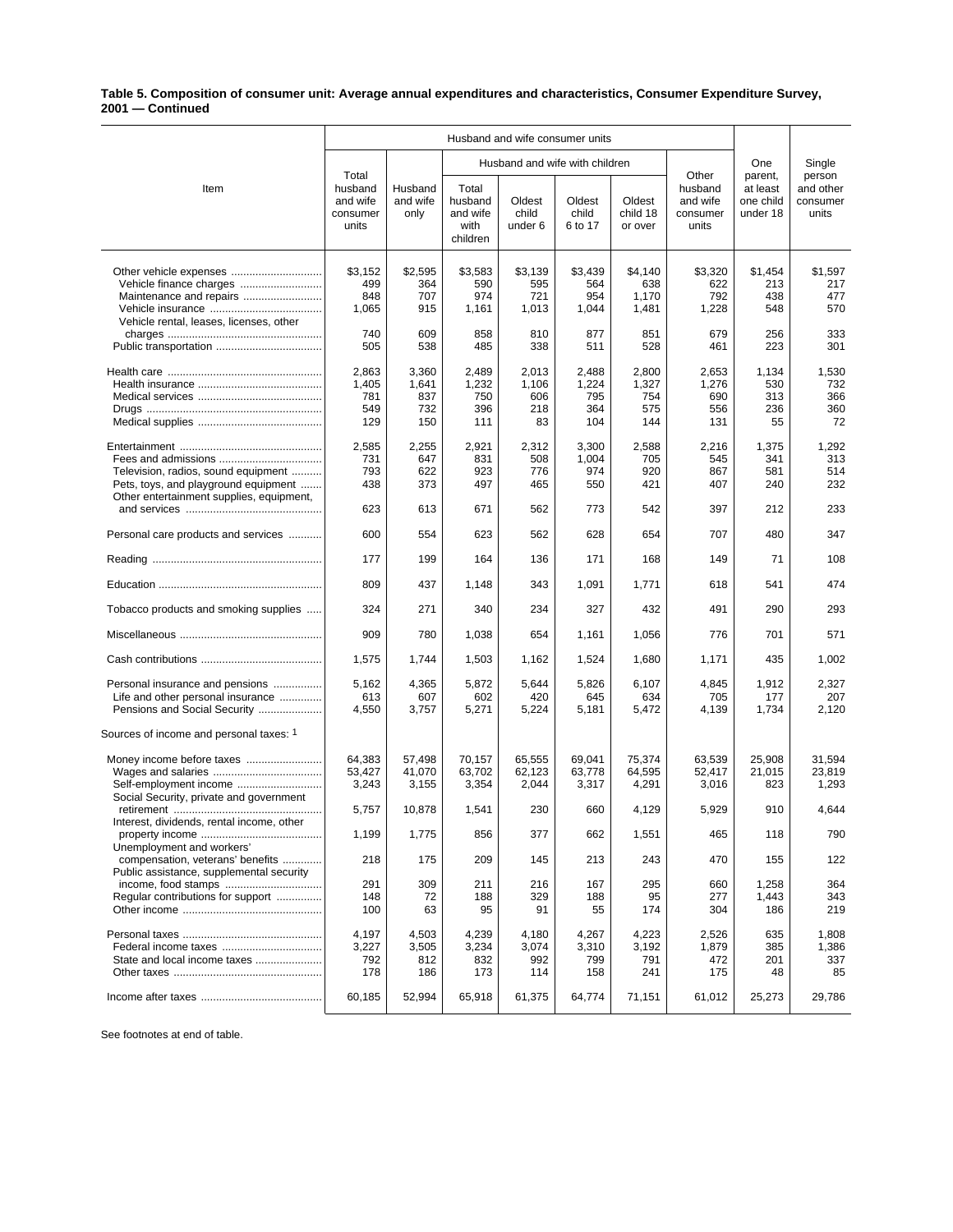## **Table 5. Composition of consumer unit: Average annual expenditures and characteristics, Consumer Expenditure Survey, 2001 — Continued**

|                                                               | Husband and wife consumer units                   |                             |                                                  |                            |                                |                               |                                                   |                                              |                                          |
|---------------------------------------------------------------|---------------------------------------------------|-----------------------------|--------------------------------------------------|----------------------------|--------------------------------|-------------------------------|---------------------------------------------------|----------------------------------------------|------------------------------------------|
| Item                                                          |                                                   |                             |                                                  |                            | Husband and wife with children |                               | One                                               | Single                                       |                                          |
|                                                               | Total<br>husband<br>and wife<br>consumer<br>units | Husband<br>and wife<br>only | Total<br>husband<br>and wife<br>with<br>children | Oldest<br>child<br>under 6 | Oldest<br>child<br>6 to 17     | Oldest<br>child 18<br>or over | Other<br>husband<br>and wife<br>consumer<br>units | parent,<br>at least<br>one child<br>under 18 | person<br>and other<br>consumer<br>units |
|                                                               | \$3,152                                           | \$2,595                     | \$3,583                                          | \$3,139                    | \$3,439                        | \$4,140                       | \$3,320                                           | \$1,454                                      | \$1,597                                  |
|                                                               | 499                                               | 364                         | 590                                              | 595                        | 564                            | 638                           | 622                                               | 213                                          | 217                                      |
| Maintenance and repairs                                       | 848                                               | 707                         | 974                                              | 721                        | 954                            | 1,170                         | 792                                               | 438                                          | 477                                      |
|                                                               | 1,065                                             | 915                         | 1,161                                            | 1,013                      | 1,044                          | 1,481                         | 1,228                                             | 548                                          | 570                                      |
| Vehicle rental, leases, licenses, other                       |                                                   |                             |                                                  |                            |                                |                               |                                                   |                                              |                                          |
|                                                               | 740<br>505                                        | 609<br>538                  | 858<br>485                                       | 810<br>338                 | 877<br>511                     | 851<br>528                    | 679<br>461                                        | 256<br>223                                   | 333<br>301                               |
|                                                               |                                                   |                             |                                                  |                            |                                |                               |                                                   |                                              |                                          |
|                                                               | 2,863                                             | 3,360                       | 2,489                                            | 2,013                      | 2,488                          | 2,800                         | 2,653                                             | 1,134                                        | 1,530                                    |
|                                                               | 1,405                                             | 1,641                       | 1,232                                            | 1,106                      | 1,224                          | 1,327                         | 1,276                                             | 530                                          | 732                                      |
|                                                               | 781                                               | 837                         | 750                                              | 606                        | 795                            | 754                           | 690                                               | 313                                          | 366                                      |
|                                                               | 549                                               | 732                         | 396                                              | 218                        | 364                            | 575                           | 556                                               | 236                                          | 360                                      |
|                                                               | 129                                               | 150                         | 111                                              | 83                         | 104                            | 144                           | 131                                               | 55                                           | 72                                       |
|                                                               | 2,585                                             | 2,255                       | 2,921                                            | 2,312                      | 3,300                          | 2,588                         | 2,216                                             | 1,375                                        | 1,292                                    |
|                                                               | 731                                               | 647                         | 831                                              | 508                        | 1,004                          | 705                           | 545                                               | 341                                          | 313                                      |
| Television, radios, sound equipment                           | 793                                               | 622                         | 923                                              | 776                        | 974                            | 920                           | 867                                               | 581                                          | 514                                      |
| Pets, toys, and playground equipment                          | 438                                               | 373                         | 497                                              | 465                        | 550                            | 421                           | 407                                               | 240                                          | 232                                      |
| Other entertainment supplies, equipment,                      |                                                   |                             |                                                  |                            |                                |                               |                                                   |                                              |                                          |
|                                                               | 623                                               | 613                         | 671                                              | 562                        | 773                            | 542                           | 397                                               | 212                                          | 233                                      |
| Personal care products and services                           | 600                                               | 554                         | 623                                              | 562                        | 628                            | 654                           | 707                                               | 480                                          | 347                                      |
|                                                               | 177                                               | 199                         | 164                                              | 136                        | 171                            | 168                           | 149                                               | 71                                           | 108                                      |
|                                                               | 809                                               | 437                         | 1,148                                            | 343                        | 1,091                          | 1,771                         | 618                                               | 541                                          | 474                                      |
| Tobacco products and smoking supplies                         | 324                                               | 271                         | 340                                              | 234                        | 327                            | 432                           | 491                                               | 290                                          | 293                                      |
|                                                               | 909                                               | 780                         | 1,038                                            | 654                        | 1,161                          | 1,056                         | 776                                               | 701                                          | 571                                      |
|                                                               | 1,575                                             | 1,744                       | 1,503                                            | 1,162                      | 1,524                          | 1,680                         | 1,171                                             | 435                                          | 1,002                                    |
| Personal insurance and pensions                               | 5,162                                             | 4,365                       | 5,872                                            | 5,644                      | 5,826                          | 6,107                         | 4,845                                             | 1,912                                        | 2,327                                    |
| Life and other personal insurance                             | 613                                               | 607                         | 602                                              | 420                        | 645                            | 634                           | 705                                               | 177                                          | 207                                      |
| Pensions and Social Security                                  | 4,550                                             | 3,757                       | 5,271                                            | 5,224                      | 5,181                          | 5,472                         | 4,139                                             | 1,734                                        | 2,120                                    |
| Sources of income and personal taxes: 1                       |                                                   |                             |                                                  |                            |                                |                               |                                                   |                                              |                                          |
|                                                               | 64,383                                            | 57,498                      | 70,157                                           | 65,555                     | 69,041                         | 75,374                        | 63.539                                            | 25,908                                       | 31,594                                   |
|                                                               | 53,427                                            | 41,070                      | 63,702                                           | 62,123                     | 63,778                         | 64.595                        | 52,417                                            | 21,015                                       | 23,819                                   |
| Self-employment income                                        | 3,243                                             | 3,155                       | 3,354                                            | 2,044                      | 3,317                          | 4,291                         | 3,016                                             | 823                                          | 1,293                                    |
| Social Security, private and government                       |                                                   |                             |                                                  |                            |                                |                               |                                                   |                                              |                                          |
|                                                               | 5,757                                             | 10,878                      | 1,541                                            | 230                        | 660                            | 4,129                         | 5,929                                             | 910                                          | 4,644                                    |
| Interest, dividends, rental income, other                     |                                                   |                             |                                                  |                            |                                |                               |                                                   |                                              |                                          |
|                                                               | 1,199                                             | 1,775                       | 856                                              | 377                        | 662                            | 1,551                         | 465                                               | 118                                          | 790                                      |
| Unemployment and workers'<br>compensation, veterans' benefits | 218                                               | 175                         | 209                                              | 145                        | 213                            | 243                           | 470                                               | 155                                          | 122                                      |
| Public assistance, supplemental security                      |                                                   |                             |                                                  |                            |                                |                               |                                                   |                                              |                                          |
| income, food stamps                                           | 291                                               | 309                         | 211                                              | 216                        | 167                            | 295                           | 660                                               | 1,258                                        | 364                                      |
| Regular contributions for support                             | 148                                               | 72                          | 188                                              | 329                        | 188                            | 95                            | 277                                               | 1,443                                        | 343                                      |
|                                                               | 100                                               | 63                          | 95                                               | 91                         | 55                             | 174                           | 304                                               | 186                                          | 219                                      |
|                                                               |                                                   |                             |                                                  |                            |                                |                               |                                                   |                                              |                                          |
|                                                               | 4,197                                             | 4,503                       | 4,239                                            | 4,180                      | 4,267                          | 4,223                         | 2,526                                             | 635                                          | 1,808                                    |
| Federal income taxes                                          | 3,227                                             | 3,505                       | 3,234                                            | 3,074                      | 3,310                          | 3,192                         | 1,879                                             | 385                                          | 1,386                                    |
| State and local income taxes                                  | 792<br>178                                        | 812<br>186                  | 832<br>173                                       | 992<br>114                 | 799<br>158                     | 791<br>241                    | 472<br>175                                        | 201<br>48                                    | 337<br>85                                |
|                                                               |                                                   |                             |                                                  |                            |                                |                               |                                                   |                                              |                                          |
|                                                               | 60,185                                            | 52,994                      | 65,918                                           | 61,375                     | 64,774                         | 71,151                        | 61,012                                            | 25,273                                       | 29,786                                   |

See footnotes at end of table.